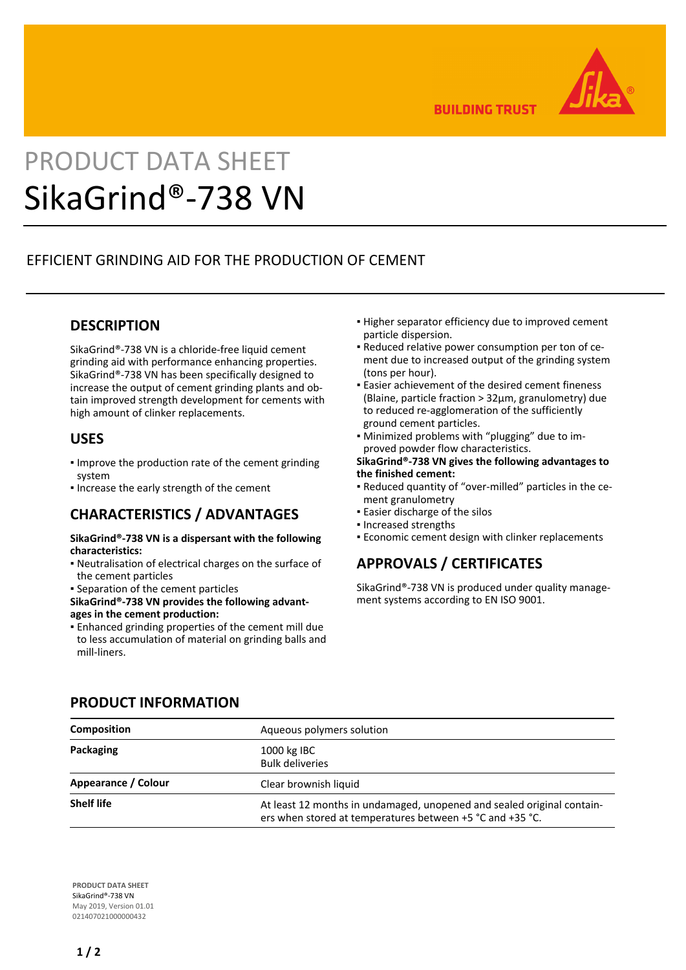

**BUILDING TRUST** 

# PRODUCT DATA SHEET SikaGrind®-738 VN

# EFFICIENT GRINDING AID FOR THE PRODUCTION OF CEMENT

## **DESCRIPTION**

SikaGrind®-738 VN is a chloride-free liquid cement grinding aid with performance enhancing properties. SikaGrind®-738 VN has been specifically designed to increase the output of cement grinding plants and obtain improved strength development for cements with high amount of clinker replacements.

#### **USES**

- **.** Improve the production rate of the cement grinding system
- **.** Increase the early strength of the cement

#### **CHARACTERISTICS / ADVANTAGES**

#### **SikaGrind®-738 VN is a dispersant with the following characteristics:**

- Neutralisation of electrical charges on the surface of the cement particles
- Separation of the cement particles
- **SikaGrind®-738 VN provides the following advantages in the cement production:**
- Enhanced grinding properties of the cement mill due to less accumulation of material on grinding balls and mill-liners.
- **.** Higher separator efficiency due to improved cement particle dispersion.
- Reduced relative power consumption per ton of ce-▪ ment due to increased output of the grinding system (tons per hour).
- Easier achievement of the desired cement fineness (Blaine, particle fraction > 32μm, granulometry) due to reduced re-agglomeration of the sufficiently ground cement particles.
- Minimized problems with "plugging" due to im-▪ proved powder flow characteristics.

#### **SikaGrind®-738 VN gives the following advantages to the finished cement:**

- Reduced quantity of "over-milled" particles in the ce-▪ ment granulometry
- **Easier discharge of the silos**
- Increased strengths
- **Economic cement design with clinker replacements**

# **APPROVALS / CERTIFICATES**

SikaGrind®-738 VN is produced under quality management systems according to EN ISO 9001.

| <b>Composition</b>  | Aqueous polymers solution                                                                                                           |
|---------------------|-------------------------------------------------------------------------------------------------------------------------------------|
| Packaging           | 1000 kg IBC<br><b>Bulk deliveries</b>                                                                                               |
| Appearance / Colour | Clear brownish liquid                                                                                                               |
| <b>Shelf life</b>   | At least 12 months in undamaged, unopened and sealed original contain-<br>ers when stored at temperatures between +5 °C and +35 °C. |

**PRODUCT INFORMATION**

**PRODUCT DATA SHEET** SikaGrind®-738 VN May 2019, Version 01.01 021407021000000432

## **1 / 2**